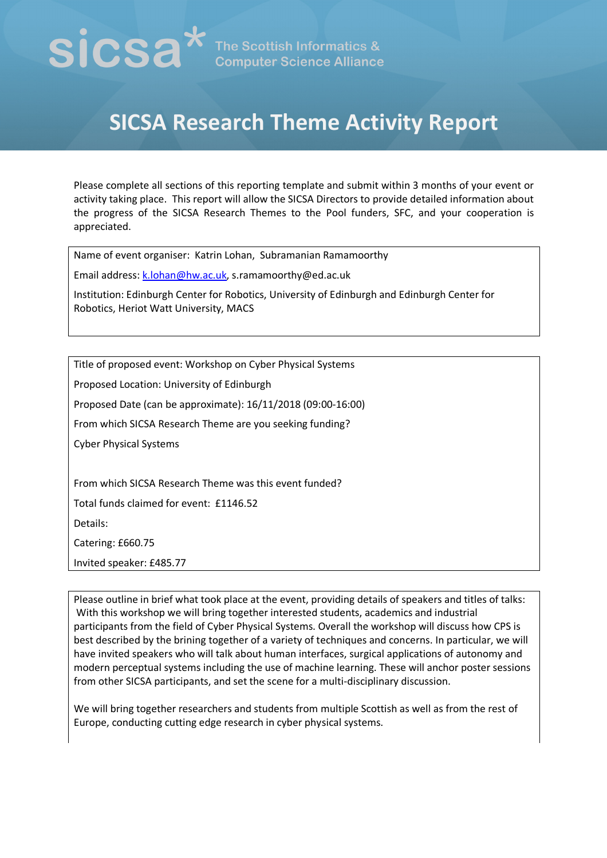# $\mathbf{SICSA}^{\star}$  The Scottish Informatics &

# **SICSA Research Theme Activity Report**

Please complete all sections of this reporting template and submit within 3 months of your event or activity taking place. This report will allow the SICSA Directors to provide detailed information about the progress of the SICSA Research Themes to the Pool funders, SFC, and your cooperation is appreciated.

Name of event organiser: Katrin Lohan, Subramanian Ramamoorthy

Email address: k.lohan@hw.ac.uk, s.ramamoorthy@ed.ac.uk

Institution: Edinburgh Center for Robotics, University of Edinburgh and Edinburgh Center for Robotics, Heriot Watt University, MACS

Title of proposed event: Workshop on Cyber Physical Systems

Proposed Location: University of Edinburgh

Proposed Date (can be approximate): 16/11/2018 (09:00-16:00)

From which SICSA Research Theme are you seeking funding?

Cyber Physical Systems

From which SICSA Research Theme was this event funded?

Total funds claimed for event: £1146.52

Details:

Catering: £660.75

Invited speaker: £485.77

Please outline in brief what took place at the event, providing details of speakers and titles of talks: With this workshop we will bring together interested students, academics and industrial participants from the field of Cyber Physical Systems. Overall the workshop will discuss how CPS is best described by the brining together of a variety of techniques and concerns. In particular, we will have invited speakers who will talk about human interfaces, surgical applications of autonomy and modern perceptual systems including the use of machine learning. These will anchor poster sessions from other SICSA participants, and set the scene for a multi-disciplinary discussion.

We will bring together researchers and students from multiple Scottish as well as from the rest of Europe, conducting cutting edge research in cyber physical systems.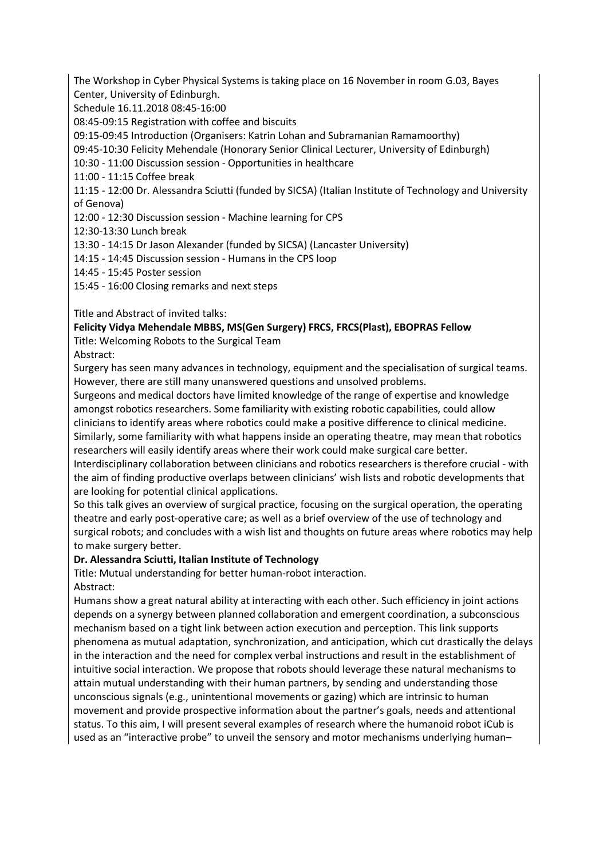The Workshop in Cyber Physical Systems is taking place on 16 November in room G.03, Bayes Center, University of Edinburgh.

Schedule 16.11.2018 08:45-16:00

08:45-09:15 Registration with coffee and biscuits

09:15-09:45 Introduction (Organisers: Katrin Lohan and Subramanian Ramamoorthy)

09:45-10:30 Felicity Mehendale (Honorary Senior Clinical Lecturer, University of Edinburgh)

10:30 - 11:00 Discussion session - Opportunities in healthcare

11:00 - 11:15 Coffee break

11:15 - 12:00 Dr. Alessandra Sciutti (funded by SICSA) (Italian Institute of Technology and University of Genova)

12:00 - 12:30 Discussion session - Machine learning for CPS

12:30-13:30 Lunch break

13:30 - 14:15 Dr Jason Alexander (funded by SICSA) (Lancaster University)

14:15 - 14:45 Discussion session - Humans in the CPS loop

14:45 - 15:45 Poster session

15:45 - 16:00 Closing remarks and next steps

Title and Abstract of invited talks:

# **Felicity Vidya Mehendale MBBS, MS(Gen Surgery) FRCS, FRCS(Plast), EBOPRAS Fellow**

Title: Welcoming Robots to the Surgical Team

Abstract:

Surgery has seen many advances in technology, equipment and the specialisation of surgical teams. However, there are still many unanswered questions and unsolved problems.

Surgeons and medical doctors have limited knowledge of the range of expertise and knowledge amongst robotics researchers. Some familiarity with existing robotic capabilities, could allow clinicians to identify areas where robotics could make a positive difference to clinical medicine. Similarly, some familiarity with what happens inside an operating theatre, may mean that robotics researchers will easily identify areas where their work could make surgical care better.

Interdisciplinary collaboration between clinicians and robotics researchers is therefore crucial - with the aim of finding productive overlaps between clinicians' wish lists and robotic developments that are looking for potential clinical applications.

So this talk gives an overview of surgical practice, focusing on the surgical operation, the operating theatre and early post-operative care; as well as a brief overview of the use of technology and surgical robots; and concludes with a wish list and thoughts on future areas where robotics may help to make surgery better.

# **Dr. Alessandra Sciutti, Italian Institute of Technology**

Title: Mutual understanding for better human-robot interaction.

Abstract:

Humans show a great natural ability at interacting with each other. Such efficiency in joint actions depends on a synergy between planned collaboration and emergent coordination, a subconscious mechanism based on a tight link between action execution and perception. This link supports phenomena as mutual adaptation, synchronization, and anticipation, which cut drastically the delays in the interaction and the need for complex verbal instructions and result in the establishment of intuitive social interaction. We propose that robots should leverage these natural mechanisms to attain mutual understanding with their human partners, by sending and understanding those unconscious signals (e.g., unintentional movements or gazing) which are intrinsic to human movement and provide prospective information about the partner's goals, needs and attentional status. To this aim, I will present several examples of research where the humanoid robot iCub is used as an "interactive probe" to unveil the sensory and motor mechanisms underlying human–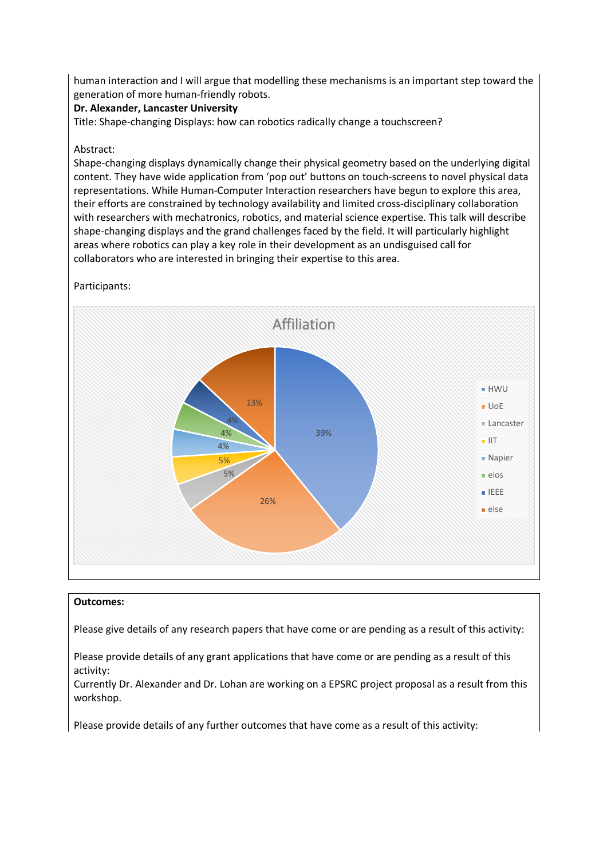human interaction and I will argue that modelling these mechanisms is an important step toward the generation of more human-friendly robots.

### **Dr. Alexander, Lancaster University**

Title: Shape-changing Displays: how can robotics radically change a touchscreen?

### Abstract:

Shape-changing displays dynamically change their physical geometry based on the underlying digital content. They have wide application from 'pop out' buttons on touch-screens to novel physical data representations. While Human-Computer Interaction researchers have begun to explore this area, their efforts are constrained by technology availability and limited cross-disciplinary collaboration with researchers with mechatronics, robotics, and material science expertise. This talk will describe shape-changing displays and the grand challenges faced by the field. It will particularly highlight areas where robotics can play a key role in their development as an undisguised call for collaborators who are interested in bringing their expertise to this area.

Participants:



### **Outcomes:**

Please give details of any research papers that have come or are pending as a result of this activity:

Please provide details of any grant applications that have come or are pending as a result of this activity:

Currently Dr. Alexander and Dr. Lohan are working on a EPSRC project proposal as a result from this workshop.

Please provide details of any further outcomes that have come as a result of this activity: